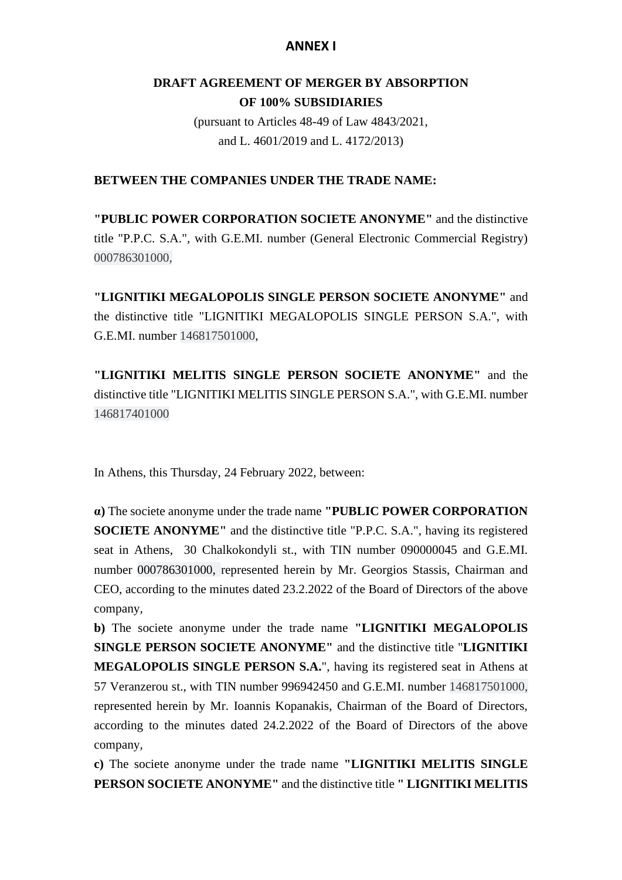# **ANNEX I**

# **DRAFT AGREEMENT OF MERGER BY ABSORPTION OF 100% SUBSIDIARIES**

(pursuant to Articles 48-49 of Law 4843/2021, and L. 4601/2019 and L. 4172/2013)

### **BETWEEN THE COMPANIES UNDER THE TRADE NAME:**

**"PUBLIC POWER CORPORATION SOCIETE ANONYME"** and the distinctive title "P.P.C. S.A.", with G.E.MI. number (General Electronic Commercial Registry) 000786301000,

**"LIGNITIKI MEGALOPOLIS SINGLE PERSON SOCIETE ANONYME"** and the distinctive title "LIGNITIKI MEGALOPOLIS SINGLE PERSON S.A.", with G.E.MI. number 146817501000,

**"LIGNITIKI MELITIS SINGLE PERSON SOCIETE ANONYME"** and the distinctive title "LIGNITIKI MELITIS SINGLE PERSON S.A.", with G.E.MI. number 146817401000

In Athens, this Thursday, 24 February 2022, between:

**α)** The societe anonyme under the trade name **"PUBLIC POWER CORPORATION SOCIETE ANONYME"** and the distinctive title "P.P.C. S.A.", having its registered seat in Athens, 30 Chalkokondyli st., with TIN number 090000045 and G.E.MI. number 000786301000, represented herein by Mr. Georgios Stassis, Chairman and CEO, according to the minutes dated 23.2.2022 of the Board of Directors of the above company,

**b)** The societe anonyme under the trade name **"LIGNITIKI MEGALOPOLIS SINGLE PERSON SOCIETE ANONYME"** and the distinctive title "**LIGNITIKI MEGALOPOLIS SINGLE PERSON S.A.**", having its registered seat in Athens at 57 Veranzerou st., with TIN number 996942450 and G.E.MI. number 146817501000, represented herein by Mr. Ioannis Kopanakis, Chairman of the Board of Directors, according to the minutes dated 24.2.2022 of the Board of Directors of the above company,

**c)** The societe anonyme under the trade name **"LIGNITIKI MELITIS SINGLE PERSON SOCIETE ANONYME"** and the distinctive title **" LIGNITIKI MELITIS**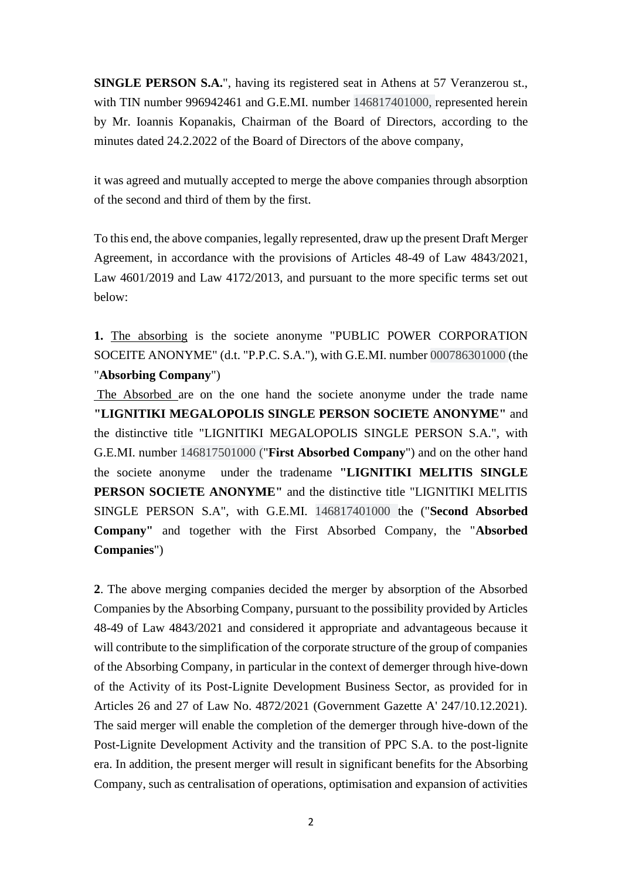**SINGLE PERSON S.A.**", having its registered seat in Athens at 57 Veranzerou st., with TIN number 996942461 and G.E.MI. number 146817401000, represented herein by Mr. Ioannis Kopanakis, Chairman of the Board of Directors, according to the minutes dated 24.2.2022 of the Board of Directors of the above company,

it was agreed and mutually accepted to merge the above companies through absorption of the second and third of them by the first.

To this end, the above companies, legally represented, draw up the present Draft Merger Agreement, in accordance with the provisions of Articles 48-49 of Law 4843/2021, Law 4601/2019 and Law 4172/2013, and pursuant to the more specific terms set out below:

**1.** The absorbing is the societe anonyme "PUBLIC POWER CORPORATION SOCEITE ANONYME" (d.t. "P.P.C. S.A."), with G.E.MI. number 000786301000 (the "**Absorbing Company**")

The Absorbed are on the one hand the societe anonyme under the trade name **"LIGNITIKI MEGALOPOLIS SINGLE PERSON SOCIETE ANONYME"** and the distinctive title "LIGNITIKI MEGALOPOLIS SINGLE PERSON S.A.", with G.E.MI. number 146817501000 ("**First Absorbed Company**") and on the other hand the societe anonyme under the tradename **"LIGNITIKI MELITIS SINGLE PERSON SOCIETE ANONYME"** and the distinctive title "LIGNITIKI MELITIS SINGLE PERSON S.A", with G.E.MI. 146817401000 the ("**Second Absorbed Company"** and together with the First Absorbed Company, the "**Absorbed Companies**")

**2**. The above merging companies decided the merger by absorption of the Absorbed Companies by the Absorbing Company, pursuant to the possibility provided by Articles 48-49 of Law 4843/2021 and considered it appropriate and advantageous because it will contribute to the simplification of the corporate structure of the group of companies of the Absorbing Company, in particular in the context of demerger through hive-down of the Activity of its Post-Lignite Development Business Sector, as provided for in Articles 26 and 27 of Law No. 4872/2021 (Government Gazette A' 247/10.12.2021). The said merger will enable the completion of the demerger through hive-down of the Post-Lignite Development Activity and the transition of PPC S.A. to the post-lignite era. In addition, the present merger will result in significant benefits for the Absorbing Company, such as centralisation of operations, optimisation and expansion of activities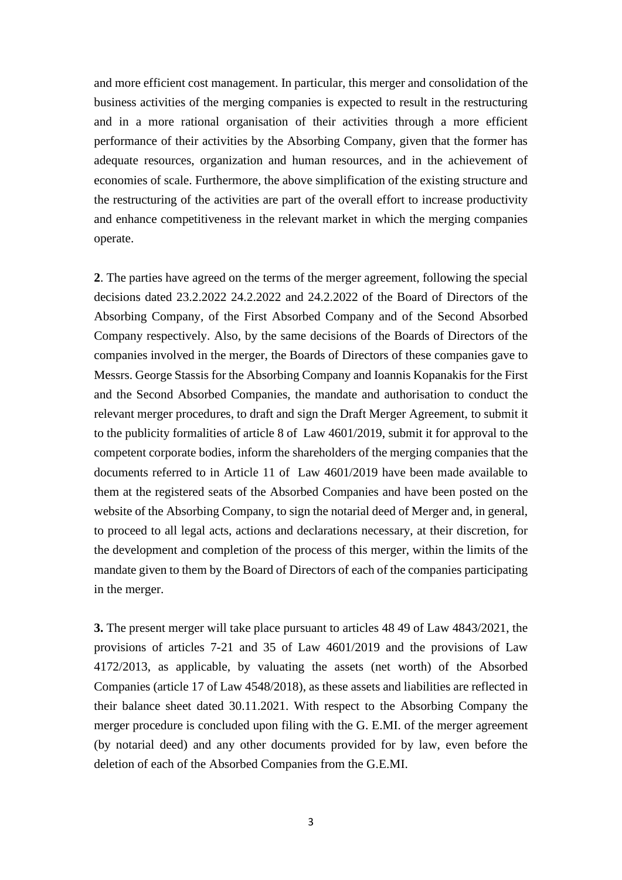and more efficient cost management. In particular, this merger and consolidation of the business activities of the merging companies is expected to result in the restructuring and in a more rational organisation of their activities through a more efficient performance of their activities by the Absorbing Company, given that the former has adequate resources, organization and human resources, and in the achievement of economies of scale. Furthermore, the above simplification of the existing structure and the restructuring of the activities are part of the overall effort to increase productivity and enhance competitiveness in the relevant market in which the merging companies operate.

**2**. The parties have agreed on the terms of the merger agreement, following the special decisions dated 23.2.2022 24.2.2022 and 24.2.2022 of the Board of Directors of the Absorbing Company, of the First Absorbed Company and of the Second Absorbed Company respectively. Also, by the same decisions of the Boards of Directors of the companies involved in the merger, the Boards of Directors of these companies gave to Messrs. George Stassis for the Absorbing Company and Ioannis Kopanakis for the First and the Second Absorbed Companies, the mandate and authorisation to conduct the relevant merger procedures, to draft and sign the Draft Merger Agreement, to submit it to the publicity formalities of article 8 of Law 4601/2019, submit it for approval to the competent corporate bodies, inform the shareholders of the merging companies that the documents referred to in Article 11 of Law 4601/2019 have been made available to them at the registered seats of the Absorbed Companies and have been posted on the website of the Absorbing Company, to sign the notarial deed of Merger and, in general, to proceed to all legal acts, actions and declarations necessary, at their discretion, for the development and completion of the process of this merger, within the limits of the mandate given to them by the Board of Directors of each of the companies participating in the merger.

**3.** The present merger will take place pursuant to articles 48 49 of Law 4843/2021, the provisions of articles 7-21 and 35 of Law 4601/2019 and the provisions of Law 4172/2013, as applicable, by valuating the assets (net worth) of the Absorbed Companies (article 17 of Law 4548/2018), as these assets and liabilities are reflected in their balance sheet dated 30.11.2021. With respect to the Absorbing Company the merger procedure is concluded upon filing with the G. E.MI. of the merger agreement (by notarial deed) and any other documents provided for by law, even before the deletion of each of the Absorbed Companies from the G.E.MI.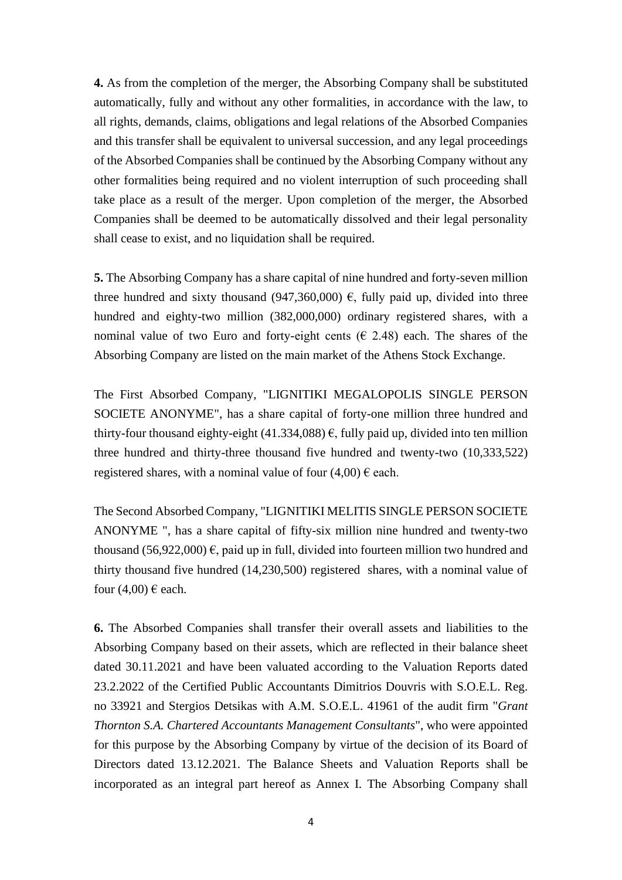**4.** As from the completion of the merger, the Absorbing Company shall be substituted automatically, fully and without any other formalities, in accordance with the law, to all rights, demands, claims, obligations and legal relations of the Absorbed Companies and this transfer shall be equivalent to universal succession, and any legal proceedings of the Absorbed Companies shall be continued by the Absorbing Company without any other formalities being required and no violent interruption of such proceeding shall take place as a result of the merger. Upon completion of the merger, the Absorbed Companies shall be deemed to be automatically dissolved and their legal personality shall cease to exist, and no liquidation shall be required.

**5.** The Absorbing Company has a share capital of nine hundred and forty-seven million three hundred and sixty thousand (947,360,000)  $\epsilon$ , fully paid up, divided into three hundred and eighty-two million (382,000,000) ordinary registered shares, with a nominal value of two Euro and forty-eight cents ( $\epsilon$  2.48) each. The shares of the Absorbing Company are listed on the main market of the Athens Stock Exchange.

The First Absorbed Company, "LIGNITIKI MEGALOPOLIS SINGLE PERSON SOCIETE ANONYME", has a share capital of forty-one million three hundred and thirty-four thousand eighty-eight (41.334,088)  $\epsilon$ , fully paid up, divided into ten million three hundred and thirty-three thousand five hundred and twenty-two (10,333,522) registered shares, with a nominal value of four  $(4,00) \in$  each.

The Second Absorbed Company, "LIGNITIKI MELITIS SINGLE PERSON SOCIETE ANONYME ", has a share capital of fifty-six million nine hundred and twenty-two thousand (56,922,000)  $\epsilon$ , paid up in full, divided into fourteen million two hundred and thirty thousand five hundred (14,230,500) registered shares, with a nominal value of four  $(4,00) \in$  each.

**6.** The Absorbed Companies shall transfer their overall assets and liabilities to the Absorbing Company based on their assets, which are reflected in their balance sheet dated 30.11.2021 and have been valuated according to the Valuation Reports dated 23.2.2022 of the Certified Public Accountants Dimitrios Douvris with S.O.E.L. Reg. no 33921 and Stergios Detsikas with A.M. S.O.E.L. 41961 of the audit firm "*Grant Thornton S.A. Chartered Accountants Management Consultants*", who were appointed for this purpose by the Absorbing Company by virtue of the decision of its Board of Directors dated 13.12.2021. The Balance Sheets and Valuation Reports shall be incorporated as an integral part hereof as Annex I. The Absorbing Company shall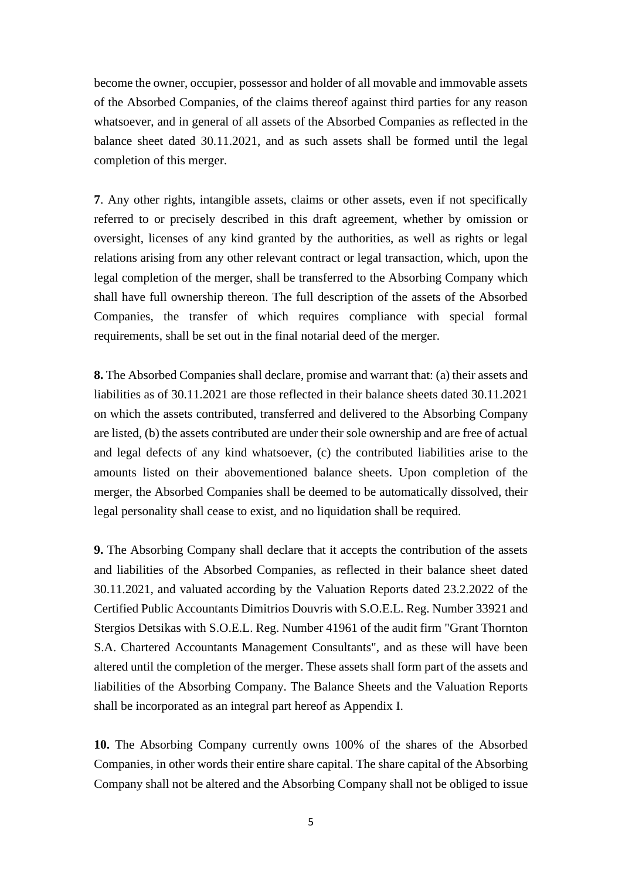become the owner, occupier, possessor and holder of all movable and immovable assets of the Absorbed Companies, of the claims thereof against third parties for any reason whatsoever, and in general of all assets of the Absorbed Companies as reflected in the balance sheet dated 30.11.2021, and as such assets shall be formed until the legal completion of this merger.

**7**. Any other rights, intangible assets, claims or other assets, even if not specifically referred to or precisely described in this draft agreement, whether by omission or oversight, licenses of any kind granted by the authorities, as well as rights or legal relations arising from any other relevant contract or legal transaction, which, upon the legal completion of the merger, shall be transferred to the Absorbing Company which shall have full ownership thereon. The full description of the assets of the Absorbed Companies, the transfer of which requires compliance with special formal requirements, shall be set out in the final notarial deed of the merger.

**8.** The Absorbed Companies shall declare, promise and warrant that: (a) their assets and liabilities as of 30.11.2021 are those reflected in their balance sheets dated 30.11.2021 on which the assets contributed, transferred and delivered to the Absorbing Company are listed, (b) the assets contributed are under their sole ownership and are free of actual and legal defects of any kind whatsoever, (c) the contributed liabilities arise to the amounts listed on their abovementioned balance sheets. Upon completion of the merger, the Absorbed Companies shall be deemed to be automatically dissolved, their legal personality shall cease to exist, and no liquidation shall be required.

**9.** The Absorbing Company shall declare that it accepts the contribution of the assets and liabilities of the Absorbed Companies, as reflected in their balance sheet dated 30.11.2021, and valuated according by the Valuation Reports dated 23.2.2022 of the Certified Public Accountants Dimitrios Douvris with S.O.E.L. Reg. Number 33921 and Stergios Detsikas with S.O.E.L. Reg. Number 41961 of the audit firm "Grant Thornton S.A. Chartered Accountants Management Consultants", and as these will have been altered until the completion of the merger. These assets shall form part of the assets and liabilities of the Absorbing Company. The Balance Sheets and the Valuation Reports shall be incorporated as an integral part hereof as Appendix I.

**10.** The Absorbing Company currently owns 100% of the shares of the Absorbed Companies, in other words their entire share capital. The share capital of the Absorbing Company shall not be altered and the Absorbing Company shall not be obliged to issue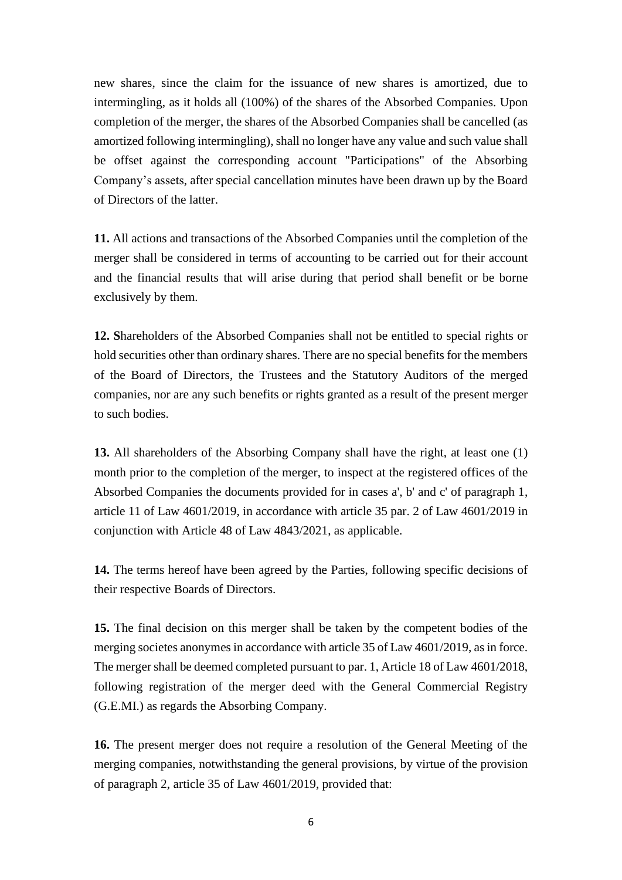new shares, since the claim for the issuance of new shares is amortized, due to intermingling, as it holds all (100%) of the shares of the Absorbed Companies. Upon completion of the merger, the shares of the Absorbed Companies shall be cancelled (as amortized following intermingling), shall no longer have any value and such value shall be offset against the corresponding account "Participations" of the Absorbing Company's assets, after special cancellation minutes have been drawn up by the Board of Directors of the latter.

**11.** All actions and transactions of the Absorbed Companies until the completion of the merger shall be considered in terms of accounting to be carried out for their account and the financial results that will arise during that period shall benefit or be borne exclusively by them.

**12. S**hareholders of the Absorbed Companies shall not be entitled to special rights or hold securities other than ordinary shares. There are no special benefits for the members of the Board of Directors, the Trustees and the Statutory Auditors of the merged companies, nor are any such benefits or rights granted as a result of the present merger to such bodies.

**13.** All shareholders of the Absorbing Company shall have the right, at least one (1) month prior to the completion of the merger, to inspect at the registered offices of the Absorbed Companies the documents provided for in cases a', b' and c' of paragraph 1, article 11 of Law 4601/2019, in accordance with article 35 par. 2 of Law 4601/2019 in conjunction with Article 48 of Law 4843/2021, as applicable.

**14.** The terms hereof have been agreed by the Parties, following specific decisions of their respective Boards of Directors.

**15.** The final decision on this merger shall be taken by the competent bodies of the merging societes anonymes in accordance with article 35 of Law 4601/2019, as in force. The merger shall be deemed completed pursuant to par. 1, Article 18 of Law 4601/2018, following registration of the merger deed with the General Commercial Registry (G.E.MI.) as regards the Absorbing Company.

**16.** The present merger does not require a resolution of the General Meeting of the merging companies, notwithstanding the general provisions, by virtue of the provision of paragraph 2, article 35 of Law 4601/2019, provided that: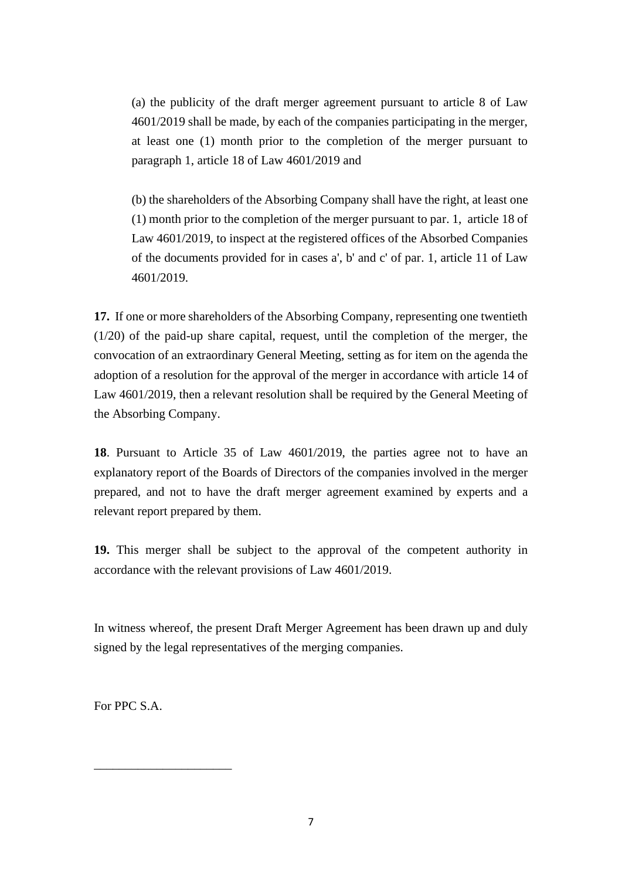(a) the publicity of the draft merger agreement pursuant to article 8 of Law 4601/2019 shall be made, by each of the companies participating in the merger, at least one (1) month prior to the completion of the merger pursuant to paragraph 1, article 18 of Law 4601/2019 and

(b) the shareholders of the Absorbing Company shall have the right, at least one (1) month prior to the completion of the merger pursuant to par. 1, article 18 of Law 4601/2019, to inspect at the registered offices of the Absorbed Companies of the documents provided for in cases a', b' and c' of par. 1, article 11 of Law 4601/2019.

**17.** If one or more shareholders of the Absorbing Company, representing one twentieth (1/20) of the paid-up share capital, request, until the completion of the merger, the convocation of an extraordinary General Meeting, setting as for item on the agenda the adoption of a resolution for the approval of the merger in accordance with article 14 of Law 4601/2019, then a relevant resolution shall be required by the General Meeting of the Absorbing Company.

**18**. Pursuant to Article 35 of Law 4601/2019, the parties agree not to have an explanatory report of the Boards of Directors of the companies involved in the merger prepared, and not to have the draft merger agreement examined by experts and a relevant report prepared by them.

**19.** This merger shall be subject to the approval of the competent authority in accordance with the relevant provisions of Law 4601/2019.

In witness whereof, the present Draft Merger Agreement has been drawn up and duly signed by the legal representatives of the merging companies.

For PPC S.A.

\_\_\_\_\_\_\_\_\_\_\_\_\_\_\_\_\_\_\_\_\_\_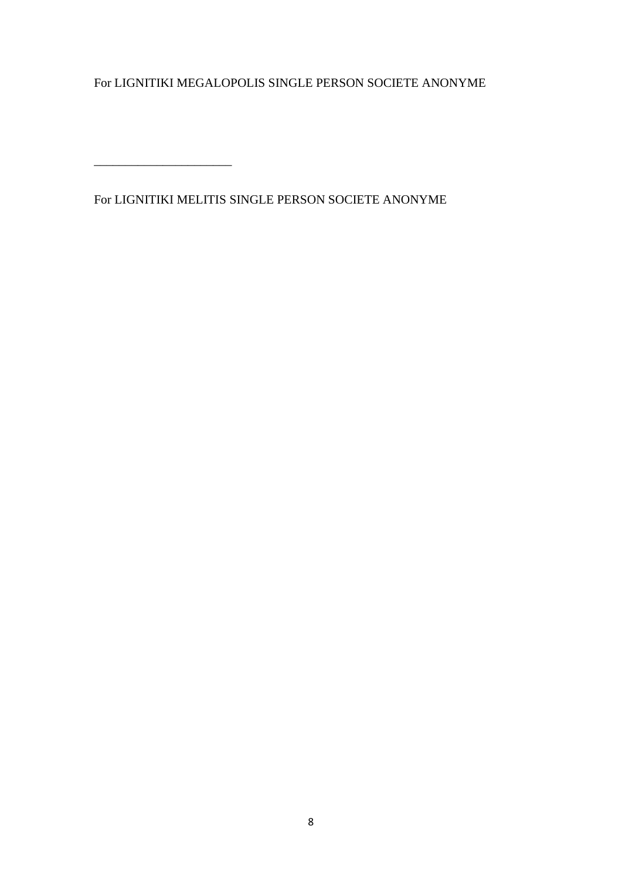For LIGNITIKI MEGALOPOLIS SINGLE PERSON SOCIETE ANONYME

For LIGNITIKI MELITIS SINGLE PERSON SOCIETE ANONYME

\_\_\_\_\_\_\_\_\_\_\_\_\_\_\_\_\_\_\_\_\_\_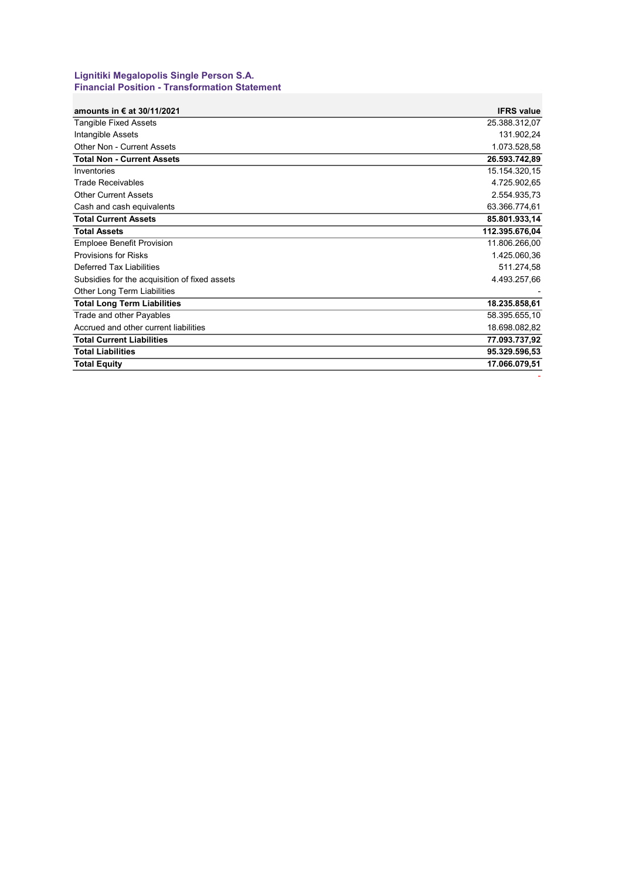#### **Lignitiki Megalopolis Single Person S.A. Financial Position - Transformation Statement**

| amounts in $\epsilon$ at 30/11/2021           | <b>IFRS value</b> |
|-----------------------------------------------|-------------------|
| <b>Tangible Fixed Assets</b>                  | 25.388.312,07     |
| Intangible Assets                             | 131.902,24        |
| Other Non - Current Assets                    | 1.073.528,58      |
| <b>Total Non - Current Assets</b>             | 26.593.742,89     |
| Inventories                                   | 15.154.320,15     |
| <b>Trade Receivables</b>                      | 4.725.902,65      |
| <b>Other Current Assets</b>                   | 2.554.935,73      |
| Cash and cash equivalents                     | 63.366.774,61     |
| <b>Total Current Assets</b>                   | 85.801.933,14     |
| <b>Total Assets</b>                           | 112.395.676,04    |
| <b>Emploee Benefit Provision</b>              | 11.806.266,00     |
| <b>Provisions for Risks</b>                   | 1.425.060,36      |
| Deferred Tax Liabilities                      | 511.274,58        |
| Subsidies for the acquisition of fixed assets | 4.493.257,66      |
| Other Long Term Liabilities                   |                   |
| <b>Total Long Term Liabilities</b>            | 18.235.858,61     |
| Trade and other Payables                      | 58.395.655,10     |
| Accrued and other current liabilities         | 18.698.082,82     |
| <b>Total Current Liabilities</b>              | 77.093.737,92     |
| <b>Total Liabilities</b>                      | 95.329.596,53     |
| <b>Total Equity</b>                           | 17.066.079,51     |
|                                               |                   |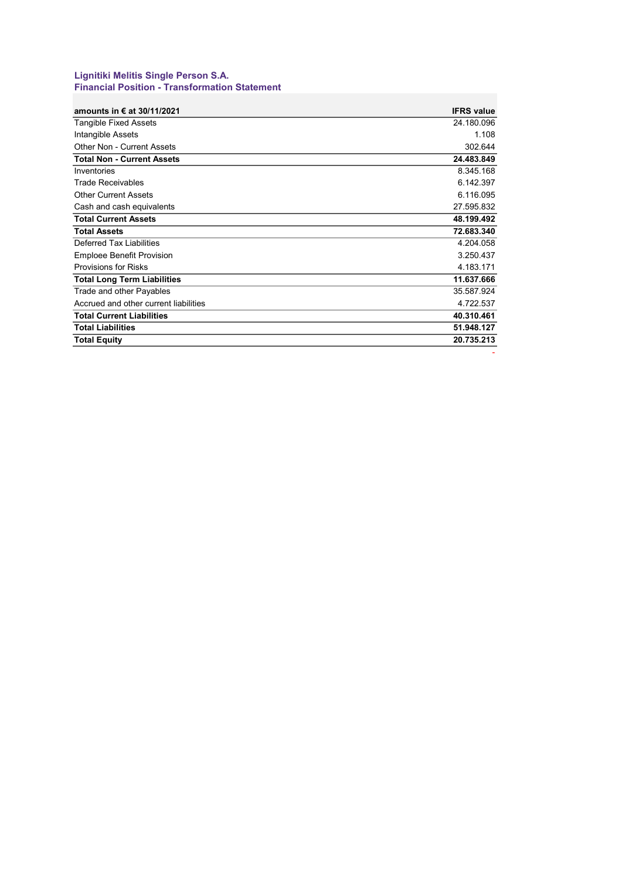#### **Lignitiki Melitis Single Person S.A. Financial Position - Transformation Statement**

| amounts in € at 30/11/2021            | <b>IFRS value</b> |
|---------------------------------------|-------------------|
| <b>Tangible Fixed Assets</b>          | 24.180.096        |
| Intangible Assets                     | 1.108             |
| <b>Other Non - Current Assets</b>     | 302.644           |
| <b>Total Non - Current Assets</b>     | 24.483.849        |
| Inventories                           | 8.345.168         |
| <b>Trade Receivables</b>              | 6.142.397         |
| <b>Other Current Assets</b>           | 6.116.095         |
| Cash and cash equivalents             | 27.595.832        |
| <b>Total Current Assets</b>           | 48.199.492        |
| <b>Total Assets</b>                   | 72.683.340        |
| Deferred Tax Liabilities              | 4.204.058         |
| <b>Emploee Benefit Provision</b>      | 3.250.437         |
| <b>Provisions for Risks</b>           | 4.183.171         |
| <b>Total Long Term Liabilities</b>    | 11.637.666        |
| Trade and other Payables              | 35.587.924        |
| Accrued and other current liabilities | 4.722.537         |
| <b>Total Current Liabilities</b>      | 40.310.461        |
| <b>Total Liabilities</b>              | 51.948.127        |
| <b>Total Equity</b>                   | 20.735.213        |

-